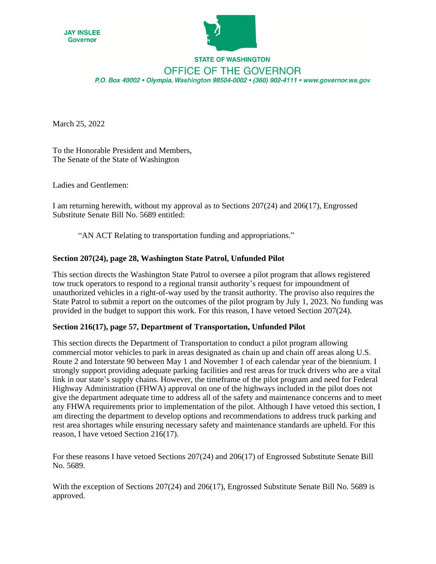



## **STATE OF WASHINGTON** OFFICE OF THE GOVERNOR P.O. Box 40002 · Olympia, Washington 98504-0002 · (360) 902-4111 · www.governor.wa.gov

March 25, 2022

To the Honorable President and Members, The Senate of the State of Washington

Ladies and Gentlemen:

I am returning herewith, without my approval as to Sections 207(24) and 206(17), Engrossed Substitute Senate Bill No. 5689 entitled:

"AN ACT Relating to transportation funding and appropriations."

## **Section 207(24), page 28, Washington State Patrol, Unfunded Pilot**

This section directs the Washington State Patrol to oversee a pilot program that allows registered tow truck operators to respond to a regional transit authority's request for impoundment of unauthorized vehicles in a right-of-way used by the transit authority. The proviso also requires the State Patrol to submit a report on the outcomes of the pilot program by July 1, 2023. No funding was provided in the budget to support this work. For this reason, I have vetoed Section 207(24).

## **Section 216(17), page 57, Department of Transportation, Unfunded Pilot**

This section directs the Department of Transportation to conduct a pilot program allowing commercial motor vehicles to park in areas designated as chain up and chain off areas along U.S. Route 2 and Interstate 90 between May 1 and November 1 of each calendar year of the biennium. I strongly support providing adequate parking facilities and rest areas for truck drivers who are a vital link in our state's supply chains. However, the timeframe of the pilot program and need for Federal Highway Administration (FHWA) approval on one of the highways included in the pilot does not give the department adequate time to address all of the safety and maintenance concerns and to meet any FHWA requirements prior to implementation of the pilot. Although I have vetoed this section, I am directing the department to develop options and recommendations to address truck parking and rest area shortages while ensuring necessary safety and maintenance standards are upheld. For this reason, I have vetoed Section 216(17).

For these reasons I have vetoed Sections 207(24) and 206(17) of Engrossed Substitute Senate Bill No. 5689.

With the exception of Sections 207(24) and 206(17), Engrossed Substitute Senate Bill No. 5689 is approved.